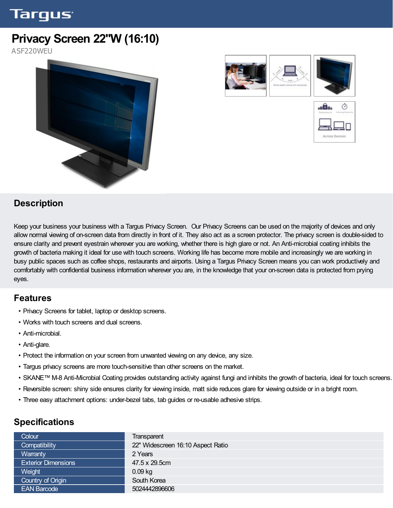# Targus<sup>.</sup>

# **Privacy Screen 22"W (16:10)**

ASF220WEU







## **Description**

Keep your business your business with a Targus Privacy Screen. Our Privacy Screens can be used on the majority of devices and only allow normal viewing of on-screen data from directly in front of it. They also act as a screen protector. The privacy screen is double-sided to ensure clarity and prevent eyestrain wherever you are working, whether there is high glare or not. An Anti-microbial coating inhibits the growth of bacteria making it ideal for use with touch screens. Working life has become more mobile and increasingly we are working in busy public spaces such as coffee shops, restaurants and airports. Using a Targus Privacy Screen means you can work productively and comfortably with confidential business information wherever you are, in the knowledge that your on-screen data is protected from prying eyes.

#### **Features**

- Privacy Screens for tablet, laptop or desktop screens.
- Works with touch screens and dual screens.
- Anti-microbial.
- Anti-glare.
- Protect the information on your screen from unwanted viewing on any device, any size.
- Targus privacy screens are more touch-sensitive than other screens on the market.
- SKANE™ M-8 Anti-Microbial Coating provides outstanding activity against fungi and inhibits the growth of bacteria, ideal for touch screens.
- Reversible screen: shiny side ensures clarity for viewing inside, matt side reduces glare for viewing outside or in a bright room.
- Three easy attachment options: under-bezel tabs, tab guides or re-usable adhesive strips.

### **Specifications**

| Colour                     |                                   |
|----------------------------|-----------------------------------|
|                            | Transparent                       |
| Compatibility              | 22" Widescreen 16:10 Aspect Ratio |
| Warranty                   | 2 Years                           |
| <b>Exterior Dimensions</b> | 47.5 x 29.5cm                     |
| Weight                     | $0.09$ kg                         |
| Country of Origin          | South Korea                       |
| <b>EAN Barcode</b>         | 5024442896606                     |